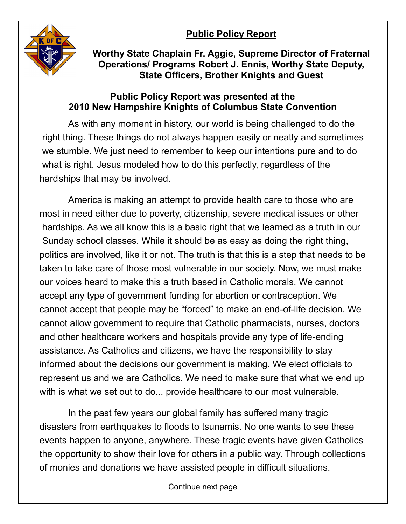## **Public Policy Report**



**Worthy State Chaplain Fr. Aggie, Supreme Director of Fraternal Operations/ Programs Robert J. Ennis, Worthy State Deputy, State Officers, Brother Knights and Guest**

## **Public Policy Report was presented at the 2010 New Hampshire Knights of Columbus State Convention**

As with any moment in history, our world is being challenged to do the right thing. These things do not always happen easily or neatly and sometimes we stumble. We just need to remember to keep our intentions pure and to do what is right. Jesus modeled how to do this perfectly, regardless of the hardships that may be involved.

America is making an attempt to provide health care to those who are most in need either due to poverty, citizenship, severe medical issues or other hardships. As we all know this is a basic right that we learned as a truth in our Sunday school classes. While it should be as easy as doing the right thing, politics are involved, like it or not. The truth is that this is a step that needs to be taken to take care of those most vulnerable in our society. Now, we must make our voices heard to make this a truth based in Catholic morals. We cannot accept any type of government funding for abortion or contraception. We cannot accept that people may be "forced" to make an end-of-life decision. We cannot allow government to require that Catholic pharmacists, nurses, doctors and other healthcare workers and hospitals provide any type of life-ending assistance. As Catholics and citizens, we have the responsibility to stay informed about the decisions our government is making. We elect officials to represent us and we are Catholics. We need to make sure that what we end up with is what we set out to do... provide healthcare to our most vulnerable.

In the past few years our global family has suffered many tragic disasters from earthquakes to floods to tsunamis. No one wants to see these events happen to anyone, anywhere. These tragic events have given Catholics the opportunity to show their love for others in a public way. Through collections of monies and donations we have assisted people in difficult situations.

Continue next page